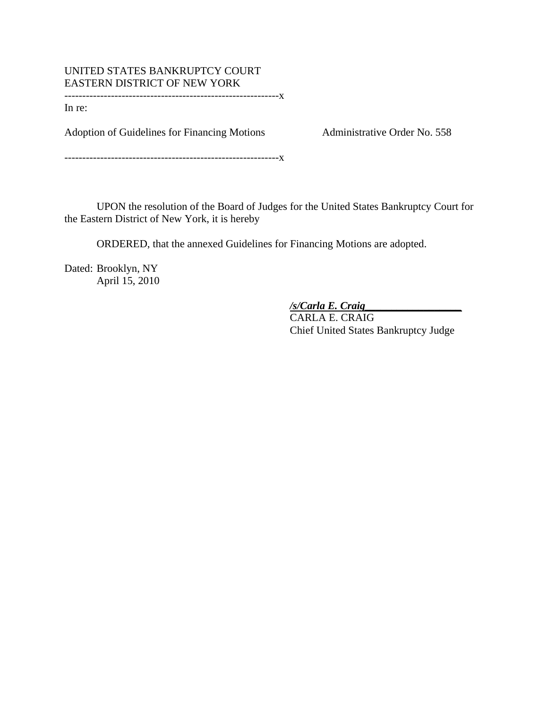UNITED STATES BANKRUPTCY COURT EASTERN DISTRICT OF NEW YORK ------------------------------------------------------------x

In re:

Adoption of Guidelines for Financing Motions Administrative Order No. 558

------------------------------------------------------------x

 UPON the resolution of the Board of Judges for the United States Bankruptcy Court for the Eastern District of New York, it is hereby

ORDERED, that the annexed Guidelines for Financing Motions are adopted.

Dated: Brooklyn, NY April 15, 2010

*/s/Carla E. Craig\_\_\_\_\_\_\_\_\_\_\_\_\_\_\_\_\_\_* 

 CARLA E. CRAIG Chief United States Bankruptcy Judge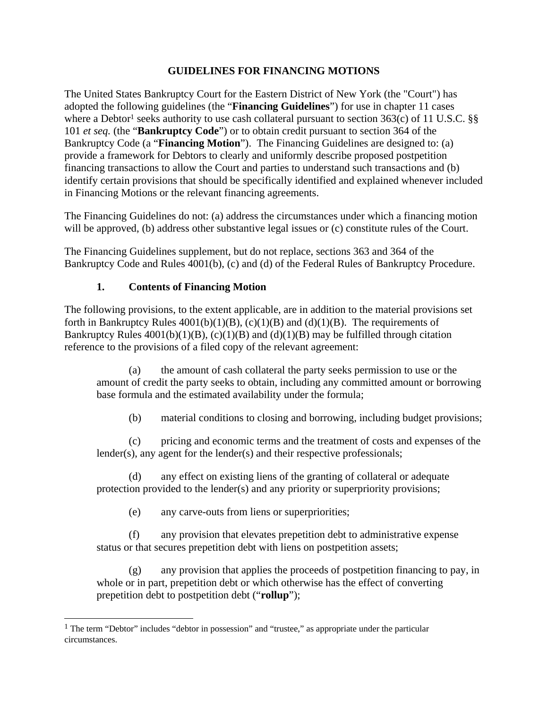## **GUIDELINES FOR FINANCING MOTIONS**

The United States Bankruptcy Court for the Eastern District of New York (the "Court") has adopted the following guidelines (the "**Financing Guidelines**") for use in chapter 11 cases where a Debtor<sup>1</sup> seeks authority to use cash collateral pursuant to section  $363(c)$  of 11 U.S.C. §§ 101 *et seq.* (the "**Bankruptcy Code**") or to obtain credit pursuant to section 364 of the Bankruptcy Code (a "**Financing Motion**"). The Financing Guidelines are designed to: (a) provide a framework for Debtors to clearly and uniformly describe proposed postpetition financing transactions to allow the Court and parties to understand such transactions and (b) identify certain provisions that should be specifically identified and explained whenever included in Financing Motions or the relevant financing agreements.

The Financing Guidelines do not: (a) address the circumstances under which a financing motion will be approved, (b) address other substantive legal issues or (c) constitute rules of the Court.

The Financing Guidelines supplement, but do not replace, sections 363 and 364 of the Bankruptcy Code and Rules 4001(b), (c) and (d) of the Federal Rules of Bankruptcy Procedure.

# **1. Contents of Financing Motion**

 $\overline{a}$ 

The following provisions, to the extent applicable, are in addition to the material provisions set forth in Bankruptcy Rules  $4001(b)(1)(B)$ , (c)(1)(B) and (d)(1)(B). The requirements of Bankruptcy Rules  $4001(b)(1)(B)$ , (c)(1)(B) and (d)(1)(B) may be fulfilled through citation reference to the provisions of a filed copy of the relevant agreement:

(a) the amount of cash collateral the party seeks permission to use or the amount of credit the party seeks to obtain, including any committed amount or borrowing base formula and the estimated availability under the formula;

(b) material conditions to closing and borrowing, including budget provisions;

(c) pricing and economic terms and the treatment of costs and expenses of the lender(s), any agent for the lender(s) and their respective professionals;

(d) any effect on existing liens of the granting of collateral or adequate protection provided to the lender(s) and any priority or superpriority provisions;

(e) any carve-outs from liens or superpriorities;

(f) any provision that elevates prepetition debt to administrative expense status or that secures prepetition debt with liens on postpetition assets;

(g) any provision that applies the proceeds of postpetition financing to pay, in whole or in part, prepetition debt or which otherwise has the effect of converting prepetition debt to postpetition debt ("**rollup**");

<sup>&</sup>lt;sup>1</sup> The term "Debtor" includes "debtor in possession" and "trustee," as appropriate under the particular circumstances.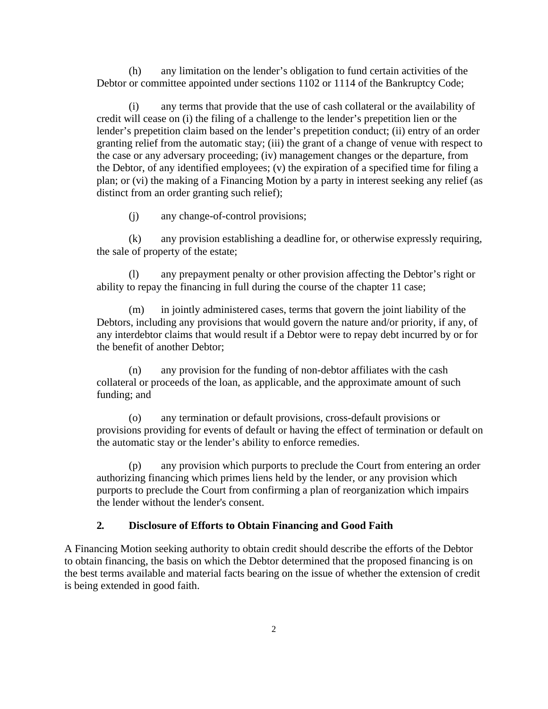(h) any limitation on the lender's obligation to fund certain activities of the Debtor or committee appointed under sections 1102 or 1114 of the Bankruptcy Code;

(i) any terms that provide that the use of cash collateral or the availability of credit will cease on (i) the filing of a challenge to the lender's prepetition lien or the lender's prepetition claim based on the lender's prepetition conduct; (ii) entry of an order granting relief from the automatic stay; (iii) the grant of a change of venue with respect to the case or any adversary proceeding; (iv) management changes or the departure, from the Debtor, of any identified employees; (v) the expiration of a specified time for filing a plan; or (vi) the making of a Financing Motion by a party in interest seeking any relief (as distinct from an order granting such relief);

(j) any change-of-control provisions;

(k) any provision establishing a deadline for, or otherwise expressly requiring, the sale of property of the estate;

(l) any prepayment penalty or other provision affecting the Debtor's right or ability to repay the financing in full during the course of the chapter 11 case;

(m) in jointly administered cases, terms that govern the joint liability of the Debtors, including any provisions that would govern the nature and/or priority, if any, of any interdebtor claims that would result if a Debtor were to repay debt incurred by or for the benefit of another Debtor;

(n) any provision for the funding of non-debtor affiliates with the cash collateral or proceeds of the loan, as applicable, and the approximate amount of such funding; and

(o) any termination or default provisions, cross-default provisions or provisions providing for events of default or having the effect of termination or default on the automatic stay or the lender's ability to enforce remedies.

(p) any provision which purports to preclude the Court from entering an order authorizing financing which primes liens held by the lender, or any provision which purports to preclude the Court from confirming a plan of reorganization which impairs the lender without the lender's consent.

#### **2***.* **Disclosure of Efforts to Obtain Financing and Good Faith**

A Financing Motion seeking authority to obtain credit should describe the efforts of the Debtor to obtain financing, the basis on which the Debtor determined that the proposed financing is on the best terms available and material facts bearing on the issue of whether the extension of credit is being extended in good faith.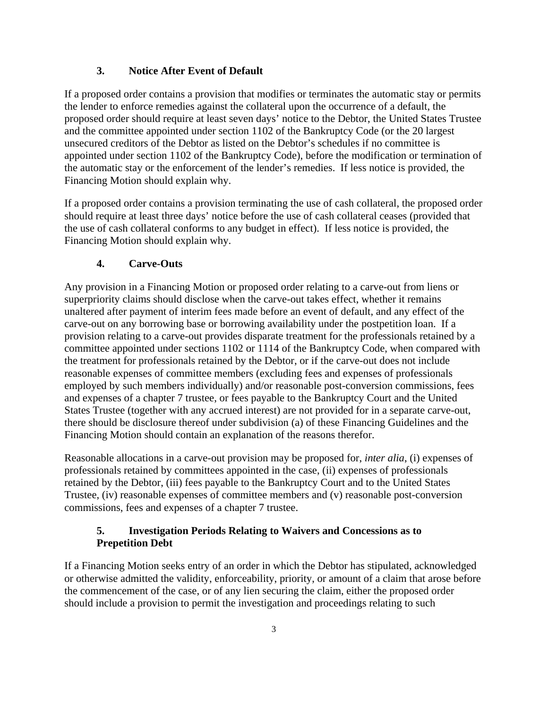#### **3. Notice After Event of Default**

If a proposed order contains a provision that modifies or terminates the automatic stay or permits the lender to enforce remedies against the collateral upon the occurrence of a default, the proposed order should require at least seven days' notice to the Debtor, the United States Trustee and the committee appointed under section 1102 of the Bankruptcy Code (or the 20 largest unsecured creditors of the Debtor as listed on the Debtor's schedules if no committee is appointed under section 1102 of the Bankruptcy Code), before the modification or termination of the automatic stay or the enforcement of the lender's remedies. If less notice is provided, the Financing Motion should explain why.

If a proposed order contains a provision terminating the use of cash collateral, the proposed order should require at least three days' notice before the use of cash collateral ceases (provided that the use of cash collateral conforms to any budget in effect). If less notice is provided, the Financing Motion should explain why.

## **4. Carve-Outs**

Any provision in a Financing Motion or proposed order relating to a carve-out from liens or superpriority claims should disclose when the carve-out takes effect, whether it remains unaltered after payment of interim fees made before an event of default, and any effect of the carve-out on any borrowing base or borrowing availability under the postpetition loan. If a provision relating to a carve-out provides disparate treatment for the professionals retained by a committee appointed under sections 1102 or 1114 of the Bankruptcy Code, when compared with the treatment for professionals retained by the Debtor, or if the carve-out does not include reasonable expenses of committee members (excluding fees and expenses of professionals employed by such members individually) and/or reasonable post-conversion commissions, fees and expenses of a chapter 7 trustee, or fees payable to the Bankruptcy Court and the United States Trustee (together with any accrued interest) are not provided for in a separate carve-out, there should be disclosure thereof under subdivision (a) of these Financing Guidelines and the Financing Motion should contain an explanation of the reasons therefor.

Reasonable allocations in a carve-out provision may be proposed for, *inter alia*, (i) expenses of professionals retained by committees appointed in the case, (ii) expenses of professionals retained by the Debtor, (iii) fees payable to the Bankruptcy Court and to the United States Trustee, (iv) reasonable expenses of committee members and (v) reasonable post-conversion commissions, fees and expenses of a chapter 7 trustee.

## **5. Investigation Periods Relating to Waivers and Concessions as to Prepetition Debt**

If a Financing Motion seeks entry of an order in which the Debtor has stipulated, acknowledged or otherwise admitted the validity, enforceability, priority, or amount of a claim that arose before the commencement of the case, or of any lien securing the claim, either the proposed order should include a provision to permit the investigation and proceedings relating to such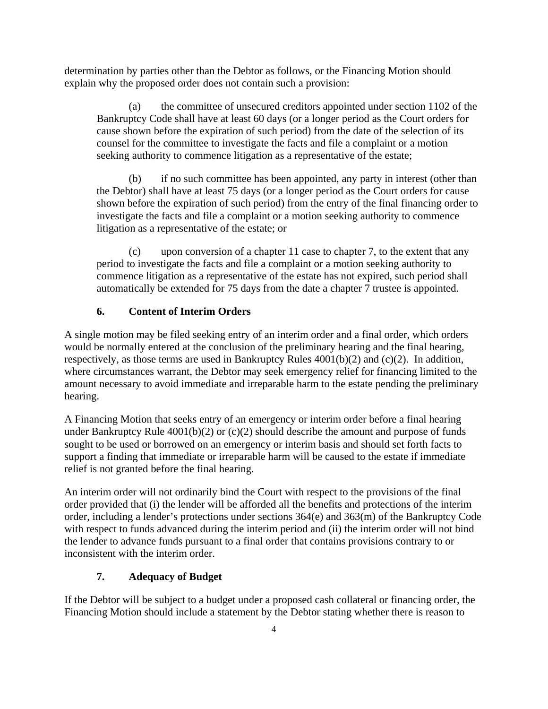determination by parties other than the Debtor as follows, or the Financing Motion should explain why the proposed order does not contain such a provision:

(a) the committee of unsecured creditors appointed under section 1102 of the Bankruptcy Code shall have at least 60 days (or a longer period as the Court orders for cause shown before the expiration of such period) from the date of the selection of its counsel for the committee to investigate the facts and file a complaint or a motion seeking authority to commence litigation as a representative of the estate;

(b) if no such committee has been appointed, any party in interest (other than the Debtor) shall have at least 75 days (or a longer period as the Court orders for cause shown before the expiration of such period) from the entry of the final financing order to investigate the facts and file a complaint or a motion seeking authority to commence litigation as a representative of the estate; or

(c) upon conversion of a chapter 11 case to chapter 7, to the extent that any period to investigate the facts and file a complaint or a motion seeking authority to commence litigation as a representative of the estate has not expired, such period shall automatically be extended for 75 days from the date a chapter 7 trustee is appointed.

# **6. Content of Interim Orders**

A single motion may be filed seeking entry of an interim order and a final order, which orders would be normally entered at the conclusion of the preliminary hearing and the final hearing, respectively, as those terms are used in Bankruptcy Rules 4001(b)(2) and (c)(2). In addition, where circumstances warrant, the Debtor may seek emergency relief for financing limited to the amount necessary to avoid immediate and irreparable harm to the estate pending the preliminary hearing.

A Financing Motion that seeks entry of an emergency or interim order before a final hearing under Bankruptcy Rule  $4001(b)(2)$  or  $(c)(2)$  should describe the amount and purpose of funds sought to be used or borrowed on an emergency or interim basis and should set forth facts to support a finding that immediate or irreparable harm will be caused to the estate if immediate relief is not granted before the final hearing.

An interim order will not ordinarily bind the Court with respect to the provisions of the final order provided that (i) the lender will be afforded all the benefits and protections of the interim order, including a lender's protections under sections 364(e) and 363(m) of the Bankruptcy Code with respect to funds advanced during the interim period and (ii) the interim order will not bind the lender to advance funds pursuant to a final order that contains provisions contrary to or inconsistent with the interim order.

# **7. Adequacy of Budget**

If the Debtor will be subject to a budget under a proposed cash collateral or financing order, the Financing Motion should include a statement by the Debtor stating whether there is reason to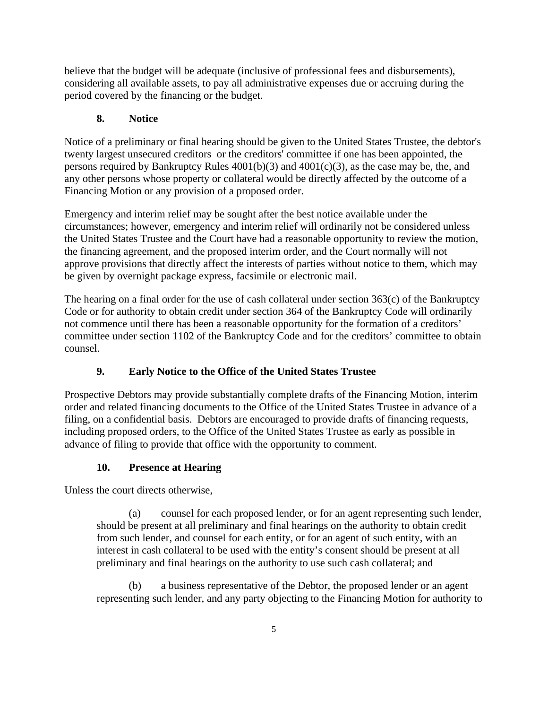believe that the budget will be adequate (inclusive of professional fees and disbursements), considering all available assets, to pay all administrative expenses due or accruing during the period covered by the financing or the budget.

# **8. Notice**

Notice of a preliminary or final hearing should be given to the United States Trustee, the debtor's twenty largest unsecured creditors or the creditors' committee if one has been appointed, the persons required by Bankruptcy Rules 4001(b)(3) and 4001(c)(3), as the case may be, the, and any other persons whose property or collateral would be directly affected by the outcome of a Financing Motion or any provision of a proposed order.

Emergency and interim relief may be sought after the best notice available under the circumstances; however, emergency and interim relief will ordinarily not be considered unless the United States Trustee and the Court have had a reasonable opportunity to review the motion, the financing agreement, and the proposed interim order, and the Court normally will not approve provisions that directly affect the interests of parties without notice to them, which may be given by overnight package express, facsimile or electronic mail.

The hearing on a final order for the use of cash collateral under section 363(c) of the Bankruptcy Code or for authority to obtain credit under section 364 of the Bankruptcy Code will ordinarily not commence until there has been a reasonable opportunity for the formation of a creditors' committee under section 1102 of the Bankruptcy Code and for the creditors' committee to obtain counsel.

# **9. Early Notice to the Office of the United States Trustee**

Prospective Debtors may provide substantially complete drafts of the Financing Motion, interim order and related financing documents to the Office of the United States Trustee in advance of a filing, on a confidential basis. Debtors are encouraged to provide drafts of financing requests, including proposed orders, to the Office of the United States Trustee as early as possible in advance of filing to provide that office with the opportunity to comment.

# **10. Presence at Hearing**

Unless the court directs otherwise,

(a) counsel for each proposed lender, or for an agent representing such lender, should be present at all preliminary and final hearings on the authority to obtain credit from such lender, and counsel for each entity, or for an agent of such entity, with an interest in cash collateral to be used with the entity's consent should be present at all preliminary and final hearings on the authority to use such cash collateral; and

(b) a business representative of the Debtor, the proposed lender or an agent representing such lender, and any party objecting to the Financing Motion for authority to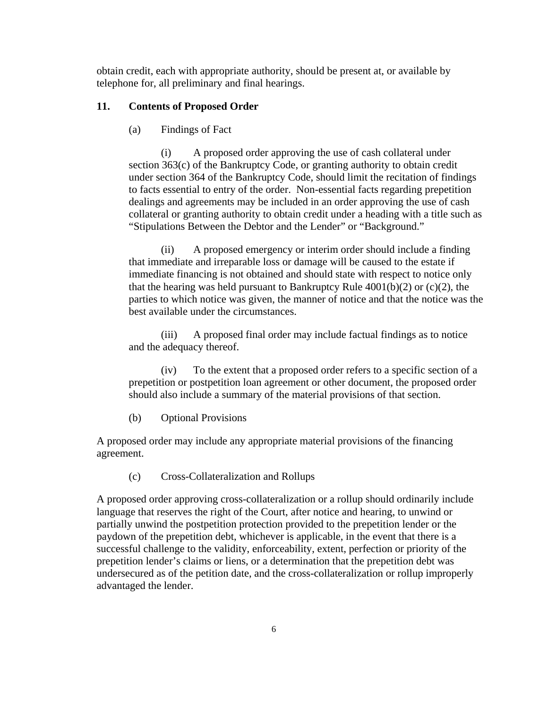obtain credit, each with appropriate authority, should be present at, or available by telephone for, all preliminary and final hearings.

#### **11. Contents of Proposed Order**

(a) Findings of Fact

(i) A proposed order approving the use of cash collateral under section 363(c) of the Bankruptcy Code, or granting authority to obtain credit under section 364 of the Bankruptcy Code, should limit the recitation of findings to facts essential to entry of the order. Non-essential facts regarding prepetition dealings and agreements may be included in an order approving the use of cash collateral or granting authority to obtain credit under a heading with a title such as "Stipulations Between the Debtor and the Lender" or "Background."

(ii) A proposed emergency or interim order should include a finding that immediate and irreparable loss or damage will be caused to the estate if immediate financing is not obtained and should state with respect to notice only that the hearing was held pursuant to Bankruptcy Rule  $4001(b)(2)$  or (c)(2), the parties to which notice was given, the manner of notice and that the notice was the best available under the circumstances.

(iii) A proposed final order may include factual findings as to notice and the adequacy thereof.

(iv) To the extent that a proposed order refers to a specific section of a prepetition or postpetition loan agreement or other document, the proposed order should also include a summary of the material provisions of that section.

(b) Optional Provisions

A proposed order may include any appropriate material provisions of the financing agreement.

(c) Cross-Collateralization and Rollups

A proposed order approving cross-collateralization or a rollup should ordinarily include language that reserves the right of the Court, after notice and hearing, to unwind or partially unwind the postpetition protection provided to the prepetition lender or the paydown of the prepetition debt, whichever is applicable, in the event that there is a successful challenge to the validity, enforceability, extent, perfection or priority of the prepetition lender's claims or liens, or a determination that the prepetition debt was undersecured as of the petition date, and the cross-collateralization or rollup improperly advantaged the lender.